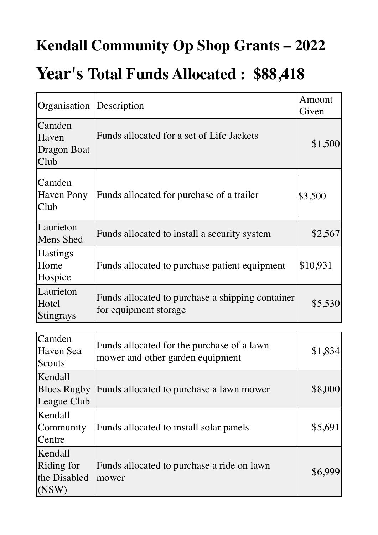### **Kendall Community Op Shop Grants – 2022**

### **Year's Total Funds Allocated : \$88,418**

| Organisation                                   | Description                                                                    | Amount<br>Given |
|------------------------------------------------|--------------------------------------------------------------------------------|-----------------|
| Camden<br>Haven<br>Dragon Boat<br> Club        | Funds allocated for a set of Life Jackets                                      | \$1,500         |
| Camden<br>Haven Pony<br>Club                   | Funds allocated for purchase of a trailer                                      | \$3,500         |
| Laurieton<br>Mens Shed                         | Funds allocated to install a security system                                   | \$2,567         |
| <b>Hastings</b><br>Home<br>Hospice             | Funds allocated to purchase patient equipment                                  | \$10,931        |
| Laurieton<br>Hotel<br><b>Stingrays</b>         | Funds allocated to purchase a shipping container<br>for equipment storage      | \$5,530         |
|                                                |                                                                                |                 |
| Camden<br>Haven Sea<br>Scouts                  | Funds allocated for the purchase of a lawn<br>mower and other garden equipment | \$1,834         |
| Kendall<br><b>Blues Rugby</b><br>League Club   | Funds allocated to purchase a lawn mower                                       | \$8,000         |
| Kendall<br>Community<br>Centre                 | Funds allocated to install solar panels                                        | \$5,691         |
| Kendall<br>Riding for<br>the Disabled<br>(NSW) | Funds allocated to purchase a ride on lawn<br>mower                            | \$6,999         |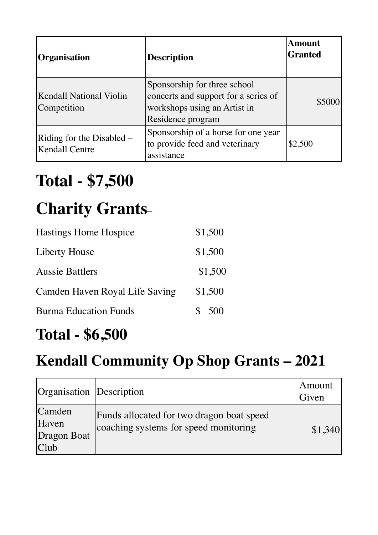| <b>Organisation</b>                                | <b>Description</b>                                                                                                        | <b>Amount</b><br><b>Granted</b> |
|----------------------------------------------------|---------------------------------------------------------------------------------------------------------------------------|---------------------------------|
| <b>Kendall National Violin</b><br>Competition      | Sponsorship for three school<br>concerts and support for a series of<br>workshops using an Artist in<br>Residence program | \$5000                          |
| Riding for the Disabled –<br><b>Kendall Centre</b> | Sponsorship of a horse for one year<br>to provide feed and veterinary<br>assistance                                       | \$2,500                         |

# **Total - \$7,500**

# **Charity Grants**–

| \$1,500   |
|-----------|
| \$1,500   |
| \$1,500   |
| \$1,500   |
| \$<br>500 |
|           |

### **Total - \$6,500**

### **Kendall Community Op Shop Grants – 2021**

| Organisation Description               |                                                                                    | 'Amount<br>Given |
|----------------------------------------|------------------------------------------------------------------------------------|------------------|
| Camden<br>Haven<br>Dragon Boat<br>Club | Funds allocated for two dragon boat speed<br>coaching systems for speed monitoring | \$1,340          |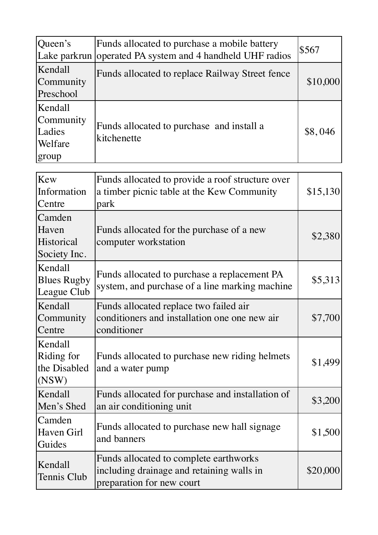| Queen's<br>Lake parkrun                            | Funds allocated to purchase a mobile battery<br>operated PA system and 4 handheld UHF radios                     | \$567    |
|----------------------------------------------------|------------------------------------------------------------------------------------------------------------------|----------|
| Kendall<br>Community<br>Preschool                  | Funds allocated to replace Railway Street fence                                                                  |          |
| Kendall<br>Community<br>Ladies<br>Welfare<br>group | Funds allocated to purchase and install a<br>kitchenette                                                         | \$8,046  |
| Kew<br>Information<br>Centre                       | Funds allocated to provide a roof structure over<br>a timber picnic table at the Kew Community<br>park           | \$15,130 |
| Camden<br>Haven<br>Historical<br>Society Inc.      | Funds allocated for the purchase of a new<br>computer workstation                                                | \$2,380  |
| Kendall<br><b>Blues Rugby</b><br>League Club       | Funds allocated to purchase a replacement PA<br>system, and purchase of a line marking machine                   | \$5,313  |
| Kendall<br>Community<br>Centre                     | Funds allocated replace two failed air<br>conditioners and installation one one new air<br>conditioner           | \$7,700  |
| Kendall<br>Riding for<br>the Disabled<br>(NSW)     | Funds allocated to purchase new riding helmets<br>and a water pump                                               | \$1,499  |
| Kendall<br>Men's Shed                              | Funds allocated for purchase and installation of<br>an air conditioning unit                                     | \$3,200  |
| Camden<br>Haven Girl<br>Guides                     | Funds allocated to purchase new hall signage<br>and banners                                                      | \$1,500  |
| Kendall<br>Tennis Club                             | Funds allocated to complete earthworks<br>including drainage and retaining walls in<br>preparation for new court | \$20,000 |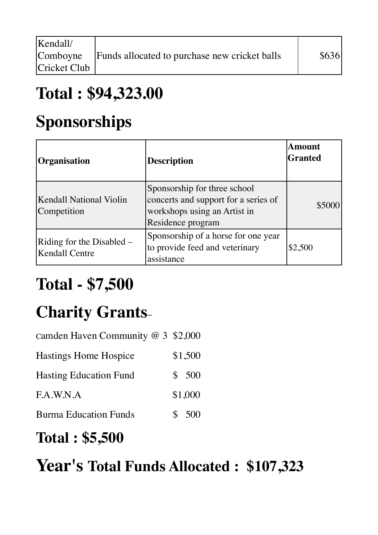| Kendall/     |                                               |       |
|--------------|-----------------------------------------------|-------|
| Comboyne     | Funds allocated to purchase new cricket balls | \$636 |
| Cricket Club |                                               |       |

## **Total : \$94,323.00**

## **Sponsorships**

| <b>Organisation</b>                                | Description                                                                                                               | <b>Amount</b><br><b>Granted</b> |
|----------------------------------------------------|---------------------------------------------------------------------------------------------------------------------------|---------------------------------|
| <b>Kendall National Violin</b><br>Competition      | Sponsorship for three school<br>concerts and support for a series of<br>workshops using an Artist in<br>Residence program | \$5000                          |
| Riding for the Disabled –<br><b>Kendall Centre</b> | Sponsorship of a horse for one year<br>to provide feed and veterinary<br>assistance                                       | \$2,500                         |

# **Total - \$7,500**

# **Charity Grants**–

| Camden Haven Community $@3$ \$2,000 |         |
|-------------------------------------|---------|
| <b>Hastings Home Hospice</b>        | \$1,500 |
| <b>Hasting Education Fund</b>       | \$500   |
| F.A.W.N.A                           | \$1,000 |
| <b>Burma Education Funds</b>        | 500     |

#### **Total : \$5,500**

### **Year's Total Funds Allocated : \$107,323**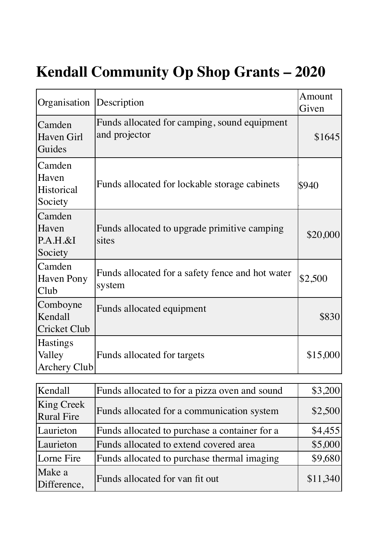### **Kendall Community Op Shop Grants – 2020**

| Organisation                               | Description                                                   | Amount<br>Given |
|--------------------------------------------|---------------------------------------------------------------|-----------------|
| Camden<br>Haven Girl<br>Guides             | Funds allocated for camping, sound equipment<br>and projector | \$1645          |
| Camden<br>Haven<br>Historical<br>Society   | Funds allocated for lockable storage cabinets                 | \$940           |
| Camden<br>Haven<br>$P.A.H.\&I$<br>Society  | Funds allocated to upgrade primitive camping<br>sites         | \$20,000        |
| Camden<br><b>Haven Pony</b><br>Club        | Funds allocated for a safety fence and hot water<br>system    | \$2,500         |
| Comboyne<br>Kendall<br><b>Cricket Club</b> | Funds allocated equipment                                     | \$830           |
| <b>Hastings</b><br>Valley<br>Archery Club  | Funds allocated for targets                                   | \$15,000        |

| Kendall                                | Funds allocated to for a pizza oven and sound | \$3,200  |
|----------------------------------------|-----------------------------------------------|----------|
| <b>King Creek</b><br><b>Rural Fire</b> | Funds allocated for a communication system    | \$2,500  |
| Laurieton                              | Funds allocated to purchase a container for a | \$4,455  |
| Laurieton                              | Funds allocated to extend covered area        | \$5,000  |
| Lorne Fire                             | Funds allocated to purchase thermal imaging   | \$9,680  |
| Make a<br>Difference,                  | Funds allocated for van fit out               | \$11,340 |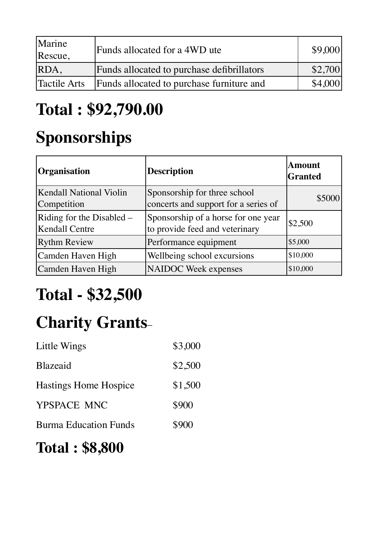| Marine<br>Rescue, | Funds allocated for a 4WD ute              | \$9,000 |
|-------------------|--------------------------------------------|---------|
| RDA,              | Funds allocated to purchase defibrillators | \$2,700 |
| Tactile Arts      | Funds allocated to purchase furniture and  | \$4,000 |

## **Total : \$92,790.00**

## **Sponsorships**

| Organisation                                       | <b>Description</b>                                                    | <b>Amount</b><br>Granted |
|----------------------------------------------------|-----------------------------------------------------------------------|--------------------------|
| Kendall National Violin<br>Competition             | Sponsorship for three school<br>concerts and support for a series of  | \$5000                   |
| Riding for the Disabled –<br><b>Kendall Centre</b> | Sponsorship of a horse for one year<br>to provide feed and veterinary | \$2,500                  |
| <b>Rythm Review</b>                                | Performance equipment                                                 | \$5,000                  |
| Camden Haven High                                  | Wellbeing school excursions                                           | \$10,000                 |
| Camden Haven High                                  | <b>NAIDOC</b> Week expenses                                           | \$10,000                 |

# **Total - \$32,500**

# **Charity Grants**–

| Little Wings                 | \$3,000 |
|------------------------------|---------|
| <b>Blazeaid</b>              | \$2,500 |
| <b>Hastings Home Hospice</b> | \$1,500 |
| YPSPACE MNC                  | \$900   |
| <b>Burma Education Funds</b> | \$900   |

#### **Total : \$8,800**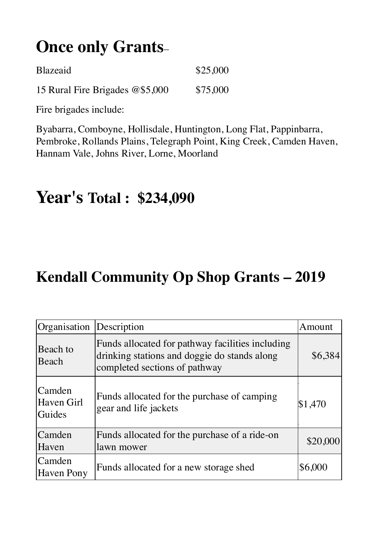## **Once only Grants**–

| <b>Blazeaid</b>                 | \$25,000 |
|---------------------------------|----------|
| 15 Rural Fire Brigades @\$5,000 | \$75,000 |

Fire brigades include:

Byabarra, Comboyne, Hollisdale, Huntington, Long Flat, Pappinbarra, Pembroke, Rollands Plains, Telegraph Point, King Creek, Camden Haven, Hannam Vale, Johns River, Lorne, Moorland

### **Year's Total : \$234,090**

#### **Kendall Community Op Shop Grants – 2019**

| Organisation                   | Description                                                                                                                       | Amount   |
|--------------------------------|-----------------------------------------------------------------------------------------------------------------------------------|----------|
| Beach to<br>Beach              | Funds allocated for pathway facilities including<br>drinking stations and doggie do stands along<br>completed sections of pathway | \$6,384  |
| Camden<br>Haven Girl<br>Guides | Funds allocated for the purchase of camping<br>gear and life jackets                                                              | \$1,470  |
| Camden<br>Haven                | Funds allocated for the purchase of a ride-on<br>lawn mower                                                                       | \$20,000 |
| Camden<br><b>Haven Pony</b>    | Funds allocated for a new storage shed                                                                                            | \$6,000  |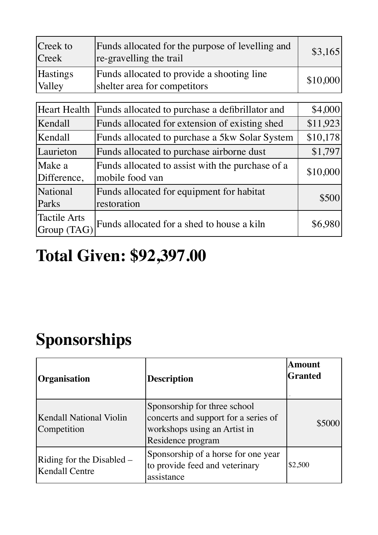| Creek to<br>Creek                  | Funds allocated for the purpose of levelling and<br>re-gravelling the trail | \$3,165  |
|------------------------------------|-----------------------------------------------------------------------------|----------|
| <b>Hastings</b><br>Valley          | Funds allocated to provide a shooting line<br>shelter area for competitors  | \$10,000 |
|                                    |                                                                             |          |
| <b>Heart Health</b>                | Funds allocated to purchase a defibrillator and                             | \$4,000  |
| Kendall                            | Funds allocated for extension of existing shed                              | \$11,923 |
| Kendall                            | Funds allocated to purchase a 5kw Solar System                              | \$10,178 |
| Laurieton                          | Funds allocated to purchase airborne dust                                   | \$1,797  |
| Make a<br>Difference,              | Funds allocated to assist with the purchase of a<br>mobile food van         | \$10,000 |
| National<br>Parks                  | Funds allocated for equipment for habitat<br>restoration                    | \$500    |
| <b>Tactile Arts</b><br>Group (TAG) | Funds allocated for a shed to house a kiln                                  | \$6,980  |

## **Total Given: \$92,397.00**

# **Sponsorships**

| <b>Organisation</b>                                | <b>Description</b>                                                                                                        | <b>Amount</b><br><b>Granted</b> |
|----------------------------------------------------|---------------------------------------------------------------------------------------------------------------------------|---------------------------------|
| Kendall National Violin<br>Competition             | Sponsorship for three school<br>concerts and support for a series of<br>workshops using an Artist in<br>Residence program | \$5000                          |
| Riding for the Disabled –<br><b>Kendall Centre</b> | Sponsorship of a horse for one year<br>to provide feed and veterinary<br>assistance                                       | \$2,500                         |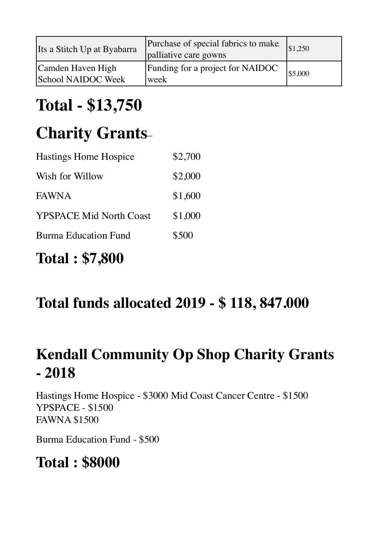| Its a Stitch Up at Byabarra             | Purchase of special fabrics to make<br>palliative care gowns | \$1,250 |
|-----------------------------------------|--------------------------------------------------------------|---------|
| Camden Haven High<br>School NAIDOC Week | Funding for a project for NAIDOC<br>week                     | \$5,000 |

# **Total - \$13,750**

# **Charity Grants**–

| <b>Hastings Home Hospice</b>   | \$2,700 |
|--------------------------------|---------|
| Wish for Willow                | \$2,000 |
| <b>FAWNA</b>                   | \$1,600 |
| <b>YPSPACE Mid North Coast</b> | \$1,000 |
| <b>Burma Education Fund</b>    | \$500   |

#### **Total : \$7,800**

#### **Total funds allocated 2019 - \$ 118, 847.000**

### **Kendall Community Op Shop Charity Grants - 2018**

Hastings Home Hospice - \$3000 Mid Coast Cancer Centre - \$1500 YPSPACE - \$1500 FAWNA \$1500

Burma Education Fund - \$500

#### **Total : \$8000**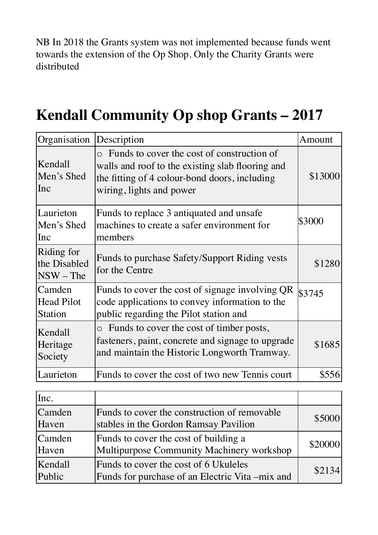NB In 2018 the Grants system was not implemented because funds went towards the extension of the Op Shop. Only the Charity Grants were distributed

#### **Kendall Community Op shop Grants – 2017**

| Organisation                                  | Description                                                                                                                                                                   | Amount  |
|-----------------------------------------------|-------------------------------------------------------------------------------------------------------------------------------------------------------------------------------|---------|
| Kendall<br>Men's Shed<br>Inc                  | o Funds to cover the cost of construction of<br>walls and roof to the existing slab flooring and<br>the fitting of 4 colour-bond doors, including<br>wiring, lights and power | \$13000 |
| Laurieton<br>Men's Shed<br>Inc                | Funds to replace 3 antiquated and unsafe<br>machines to create a safer environment for<br>members                                                                             | \$3000  |
| Riding for<br>the Disabled<br>$NSW$ – The     | Funds to purchase Safety/Support Riding vests<br>for the Centre                                                                                                               | \$1280  |
| Camden<br><b>Head Pilot</b><br><b>Station</b> | Funds to cover the cost of signage involving QR<br>code applications to convey information to the<br>public regarding the Pilot station and                                   | \$3745  |
| Kendall<br>Heritage<br>Society                | o Funds to cover the cost of timber posts,<br>fasteners, paint, concrete and signage to upgrade<br>and maintain the Historic Longworth Tramway.                               | \$1685  |
| Laurieton                                     | Funds to cover the cost of two new Tennis court                                                                                                                               | \$556   |

| Inc.              |                                                                                          |         |
|-------------------|------------------------------------------------------------------------------------------|---------|
| Camden<br>Haven   | Funds to cover the construction of removable<br>stables in the Gordon Ramsay Pavilion    | \$5000  |
| Camden<br>Haven   | Funds to cover the cost of building a<br>Multipurpose Community Machinery workshop       | \$20000 |
| Kendall<br>Public | Funds to cover the cost of 6 Ukuleles<br>Funds for purchase of an Electric Vita –mix and | \$2134  |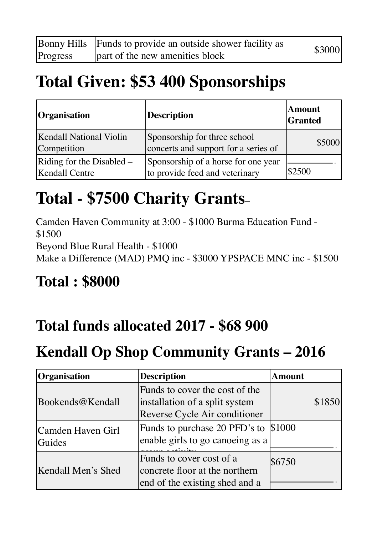|          | Bonny Hills Funds to provide an outside shower facility as | \$3000 |
|----------|------------------------------------------------------------|--------|
| Progress | part of the new amenities block                            |        |

### **Total Given: \$53 400 Sponsorships**

| <i><b>Organisation</b></i>                           | <b>Description</b>                                                    | Amount<br>Granted |
|------------------------------------------------------|-----------------------------------------------------------------------|-------------------|
| <b>Kendall National Violin</b><br>Competition        | Sponsorship for three school<br>concerts and support for a series of  | \$5000            |
| Riding for the Disabled $-$<br><b>Kendall Centre</b> | Sponsorship of a horse for one year<br>to provide feed and veterinary | \$2500            |

## **Total - \$7500 Charity Grants**–

Camden Haven Community at 3:00 - \$1000 Burma Education Fund - \$1500 Beyond Blue Rural Health - \$1000 Make a Difference (MAD) PMQ inc - \$3000 YPSPACE MNC inc - \$1500

### **Total : \$8000**

#### **Total funds allocated 2017 - \$68 900**

### **Kendall Op Shop Community Grants – 2016**

| <b>Organisation</b>         | <b>Description</b>                                                                                | <b>Amount</b> |
|-----------------------------|---------------------------------------------------------------------------------------------------|---------------|
| Bookends@Kendall            | Funds to cover the cost of the<br>installation of a split system<br>Reverse Cycle Air conditioner | \$1850        |
| Camden Haven Girl<br>Guides | Funds to purchase 20 PFD's to \$1000<br>enable girls to go canoeing as a                          |               |
| Kendall Men's Shed          | Funds to cover cost of a<br>concrete floor at the northern<br>end of the existing shed and a      | \$6750        |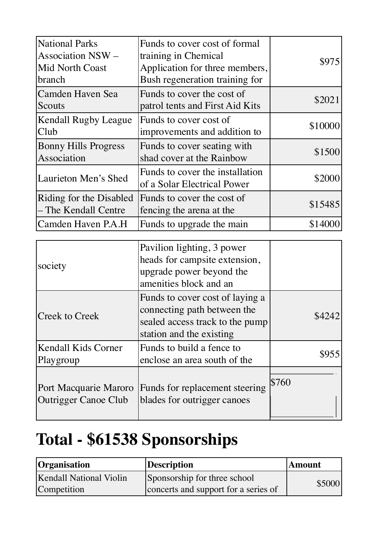| <b>National Parks</b><br><b>Association NSW -</b><br><b>Mid North Coast</b><br>branch | Funds to cover cost of formal<br>training in Chemical<br>Application for three members,<br>Bush regeneration training for | \$975   |
|---------------------------------------------------------------------------------------|---------------------------------------------------------------------------------------------------------------------------|---------|
| Camden Haven Sea<br>Scouts                                                            | Funds to cover the cost of<br>patrol tents and First Aid Kits                                                             | \$2021  |
| Kendall Rugby League<br>Club                                                          | Funds to cover cost of<br>improvements and addition to                                                                    | \$10000 |
| <b>Bonny Hills Progress</b><br>Association                                            | Funds to cover seating with<br>shad cover at the Rainbow                                                                  | \$1500  |
| <b>Laurieton Men's Shed</b>                                                           | Funds to cover the installation<br>of a Solar Electrical Power                                                            | \$2000  |
| Riding for the Disabled<br>- The Kendall Centre                                       | Funds to cover the cost of<br>fencing the arena at the                                                                    | \$15485 |
| Camden Haven P.A.H                                                                    | Funds to upgrade the main                                                                                                 | \$14000 |

| Pavilion lighting, 3 power      |                                                               |
|---------------------------------|---------------------------------------------------------------|
| heads for campsite extension,   |                                                               |
| upgrade power beyond the        |                                                               |
| amenities block and an          |                                                               |
| Funds to cover cost of laying a |                                                               |
| connecting path between the     | \$4242                                                        |
| sealed access track to the pump |                                                               |
| station and the existing        |                                                               |
| Funds to build a fence to       |                                                               |
| enclose an area south of the    |                                                               |
|                                 |                                                               |
|                                 | \$760                                                         |
|                                 |                                                               |
|                                 |                                                               |
|                                 | Funds for replacement steering<br>blades for outrigger canoes |

# **Total - \$61538 Sponsorships**

| <b>Organisation</b>            | Description                          | <b>Amount</b> |
|--------------------------------|--------------------------------------|---------------|
| <b>Kendall National Violin</b> | Sponsorship for three school         | \$5000        |
| Competition                    | concerts and support for a series of |               |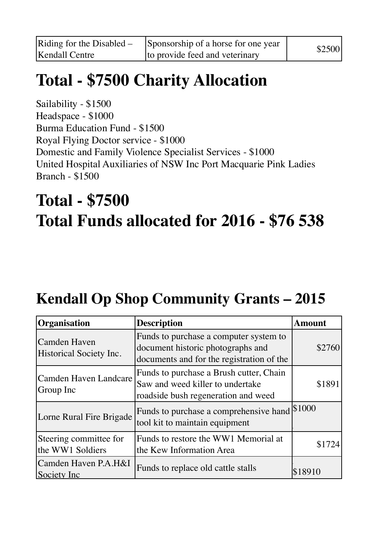# **Total - \$7500 Charity Allocation**

Sailability - \$1500 Headspace - \$1000 Burma Education Fund - \$1500 Royal Flying Doctor service - \$1000 Domestic and Family Violence Specialist Services - \$1000 United Hospital Auxiliaries of NSW Inc Port Macquarie Pink Ladies Branch - \$1500

# **Total - \$7500 Total Funds allocated for 2016 - \$76 538**

### **Kendall Op Shop Community Grants – 2015**

| Organisation                               | <b>Description</b>                                                                                                       | Amount  |
|--------------------------------------------|--------------------------------------------------------------------------------------------------------------------------|---------|
| Camden Haven<br>Historical Society Inc.    | Funds to purchase a computer system to<br>document historic photographs and<br>documents and for the registration of the | \$2760  |
| <b>Camden Haven Landcare</b><br>Group Inc  | Funds to purchase a Brush cutter, Chain<br>Saw and weed killer to undertake<br>roadside bush regeneration and weed       | \$1891  |
| Lorne Rural Fire Brigade                   | Funds to purchase a comprehensive hand<br>tool kit to maintain equipment                                                 | \$1000  |
| Steering committee for<br>the WW1 Soldiers | Funds to restore the WW1 Memorial at<br>the Kew Information Area                                                         | \$1724  |
| Camden Haven P.A.H&I<br>Society Inc        | Funds to replace old cattle stalls                                                                                       | \$18910 |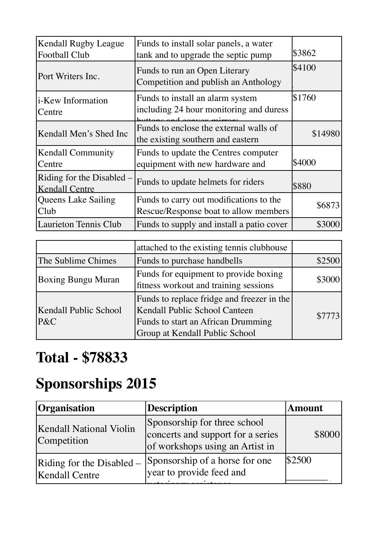| Kendall Rugby League<br><b>Football Club</b>       | Funds to install solar panels, a water<br>tank and to upgrade the septic pump    | \$3862  |
|----------------------------------------------------|----------------------------------------------------------------------------------|---------|
| Port Writers Inc.                                  | Funds to run an Open Literary<br>Competition and publish an Anthology            | \$4100  |
| <i>i</i> -Kew Information<br>Centre                | Funds to install an alarm system<br>including 24 hour monitoring and duress      | \$1760  |
| Kendall Men's Shed Inc                             | Funds to enclose the external walls of<br>the existing southern and eastern      | \$14980 |
| <b>Kendall Community</b><br>Centre                 | Funds to update the Centres computer<br>equipment with new hardware and          | \$4000  |
| Riding for the Disabled –<br><b>Kendall Centre</b> | Funds to update helmets for riders                                               | \$880   |
| Queens Lake Sailing<br>Club                        | Funds to carry out modifications to the<br>Rescue/Response boat to allow members | \$6873  |
| <b>Laurieton Tennis Club</b>                       | Funds to supply and install a patio cover                                        | \$3000  |

|                              | attached to the existing tennis clubhouse                                                                                                           |        |
|------------------------------|-----------------------------------------------------------------------------------------------------------------------------------------------------|--------|
| The Sublime Chimes           | Funds to purchase handbells                                                                                                                         | \$2500 |
| <b>Boxing Bungu Muran</b>    | Funds for equipment to provide boxing<br>fitness workout and training sessions                                                                      | \$3000 |
| Kendall Public School<br>P&C | Funds to replace fridge and freezer in the<br>Kendall Public School Canteen<br>Funds to start an African Drumming<br>Group at Kendall Public School | \$7773 |

### **Total - \$78833**

### **Sponsorships 2015**

| <b>Organisation</b>                                | <b>Description</b>                                                                                   | <b>Amount</b> |
|----------------------------------------------------|------------------------------------------------------------------------------------------------------|---------------|
| <b>Kendall National Violin</b><br>Competition      | Sponsorship for three school<br>concerts and support for a series<br>of workshops using an Artist in | \$8000        |
| Riding for the Disabled –<br><b>Kendall Centre</b> | Sponsorship of a horse for one<br>year to provide feed and                                           | \$2500        |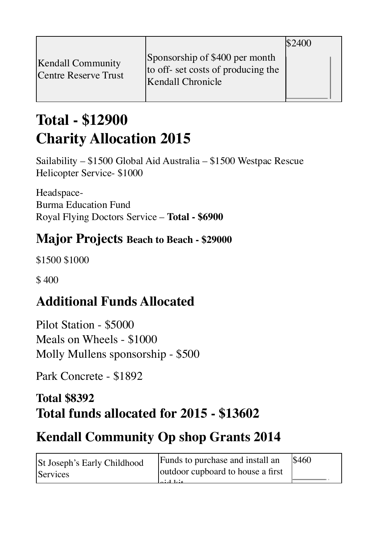|                                                  |                                                                                           | $^{\circ}2400$ |  |
|--------------------------------------------------|-------------------------------------------------------------------------------------------|----------------|--|
| <b>Kendall Community</b><br>Centre Reserve Trust | Sponsorship of \$400 per month<br>to off- set costs of producing the<br>Kendall Chronicle |                |  |

#### **Total - \$12900 Charity Allocation 2015**

Sailability – \$1500 Global Aid Australia – \$1500 Westpac Rescue Helicopter Service- \$1000

Headspace-Burma Education Fund Royal Flying Doctors Service – **Total - \$6900** 

#### **Major Projects Beach to Beach - \$29000**

\$1500 \$1000

\$400

#### **Additional Funds Allocated**

Pilot Station - \$5000 Meals on Wheels - \$1000 Molly Mullens sponsorship - \$500

Park Concrete - \$1892

#### **Total \$8392 Total funds allocated for 2015 - \$13602**

#### **Kendall Community Op shop Grants 2014**

| St Joseph's Early Childhood | Funds to purchase and install an  | <b>S460</b> |
|-----------------------------|-----------------------------------|-------------|
| Services                    | outdoor cupboard to house a first |             |
|                             | مندا المنام ا                     |             |
|                             |                                   |             |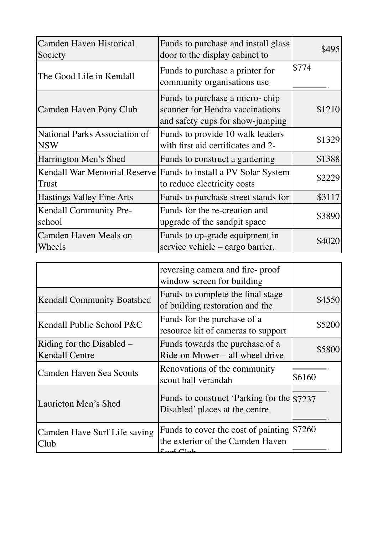| Camden Haven Historical<br>Society                 | Funds to purchase and install glass<br>door to the display cabinet to                                 | \$495  |
|----------------------------------------------------|-------------------------------------------------------------------------------------------------------|--------|
| The Good Life in Kendall                           | Funds to purchase a printer for<br>community organisations use                                        | \$774  |
| Camden Haven Pony Club                             | Funds to purchase a micro-chip<br>scanner for Hendra vaccinations<br>and safety cups for show-jumping | \$1210 |
| <b>National Parks Association of</b><br><b>NSW</b> | Funds to provide 10 walk leaders<br>with first aid certificates and 2-                                | \$1329 |
| Harrington Men's Shed                              | Funds to construct a gardening                                                                        | \$1388 |
| Kendall War Memorial Reserve<br>Trust              | Funds to install a PV Solar System<br>to reduce electricity costs                                     | \$2229 |
| <b>Hastings Valley Fine Arts</b>                   | Funds to purchase street stands for                                                                   | \$3117 |
| Kendall Community Pre-<br>school                   | Funds for the re-creation and<br>upgrade of the sandpit space                                         | \$3890 |
| Camden Haven Meals on<br>Wheels                    | Funds to up-grade equipment in<br>service vehicle – cargo barrier,                                    | \$4020 |

|                                                    | reversing camera and fire-proof<br>window screen for building                  |        |
|----------------------------------------------------|--------------------------------------------------------------------------------|--------|
| <b>Kendall Community Boatshed</b>                  | Funds to complete the final stage<br>of building restoration and the           | \$4550 |
| Kendall Public School P&C                          | Funds for the purchase of a<br>resource kit of cameras to support              | \$5200 |
| Riding for the Disabled –<br><b>Kendall Centre</b> | Funds towards the purchase of a<br>Ride-on Mower – all wheel drive             | \$5800 |
| <b>Camden Haven Sea Scouts</b>                     | Renovations of the community<br>scout hall verandah                            | \$6160 |
| Laurieton Men's Shed                               | Funds to construct 'Parking for the \\$7237<br>Disabled' places at the centre  |        |
| Camden Have Surf Life saving<br>Club               | Funds to cover the cost of painting \$7260<br>the exterior of the Camden Haven |        |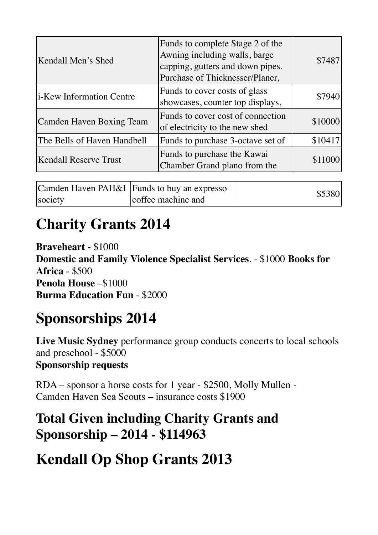| Kendall Men's Shed               | Funds to complete Stage 2 of the<br>Awning including walls, barge<br>capping, gutters and down pipes.<br>Purchase of Thicknesser/Planer, | \$7487  |
|----------------------------------|------------------------------------------------------------------------------------------------------------------------------------------|---------|
| <i>i</i> -Kew Information Centre | Funds to cover costs of glass<br>showcases, counter top displays,                                                                        | \$7940  |
| <b>Camden Haven Boxing Team</b>  | Funds to cover cost of connection<br>of electricity to the new shed                                                                      | \$10000 |
| The Bells of Haven Handbell      | Funds to purchase 3-octave set of                                                                                                        | \$10417 |
| <b>Kendall Reserve Trust</b>     | Funds to purchase the Kawai<br>Chamber Grand piano from the                                                                              | \$11000 |

|         | Camden Haven PAH&I Funds to buy an expresso | \$5380 |
|---------|---------------------------------------------|--------|
| society | coffee machine and                          |        |

#### **Charity Grants 2014**

**Braveheart -** \$1000 **Domestic and Family Violence Specialist Services**. - \$1000 **Books for Africa** - \$500 **Penola House** –\$1000 **Burma Education Fun** - \$2000

### **Sponsorships 2014**

**Live Music Sydney** performance group conducts concerts to local schools and preschool - \$5000 **Sponsorship requests** 

RDA – sponsor a horse costs for 1 year - \$2500, Molly Mullen - Camden Haven Sea Scouts – insurance costs \$1900

#### **Total Given including Charity Grants and Sponsorship – 2014 - \$114963**

#### **Kendall Op Shop Grants 2013**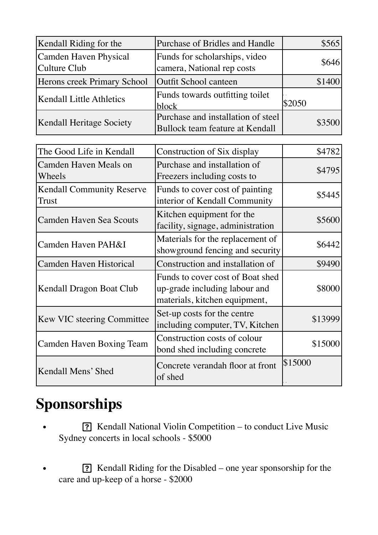| Kendall Riding for the                           | Purchase of Bridles and Handle                                                                     | \$565   |
|--------------------------------------------------|----------------------------------------------------------------------------------------------------|---------|
| Camden Haven Physical<br><b>Culture Club</b>     | Funds for scholarships, video<br>camera, National rep costs                                        | \$646   |
| Herons creek Primary School                      | <b>Outfit School canteen</b>                                                                       | \$1400  |
| <b>Kendall Little Athletics</b>                  | Funds towards outfitting toilet<br>block                                                           | \$2050  |
| Kendall Heritage Society                         | Purchase and installation of steel<br><b>Bullock team feature at Kendall</b>                       | \$3500  |
| The Good Life in Kendall                         | Construction of Six display                                                                        | \$4782  |
| Camden Haven Meals on<br>Wheels                  | Purchase and installation of<br>Freezers including costs to                                        | \$4795  |
| <b>Kendall Community Reserve</b><br><b>Trust</b> | Funds to cover cost of painting<br>interior of Kendall Community                                   | \$5445  |
| <b>Camden Haven Sea Scouts</b>                   | Kitchen equipment for the<br>facility, signage, administration                                     | \$5600  |
| Camden Haven PAH&I                               | Materials for the replacement of<br>showground fencing and security                                | \$6442  |
| Camden Haven Historical                          | Construction and installation of                                                                   | \$9490  |
| Kendall Dragon Boat Club                         | Funds to cover cost of Boat shed<br>up-grade including labour and<br>materials, kitchen equipment, | \$8000  |
| Kew VIC steering Committee                       | Set-up costs for the centre<br>including computer, TV, Kitchen                                     | \$13999 |
| <b>Camden Haven Boxing Team</b>                  | Construction costs of colour<br>bond shed including concrete                                       | \$15000 |
| Kendall Mens' Shed                               | Concrete verandah floor at front<br>of shed                                                        | \$15000 |

### **Sponsorships**

- <sup>7</sup> Kendall National Violin Competition to conduct Live Music Sydney concerts in local schools - \$5000
- **19. If the Rightary** Rendall Riding for the Disabled one year sponsorship for the care and up-keep of a horse - \$2000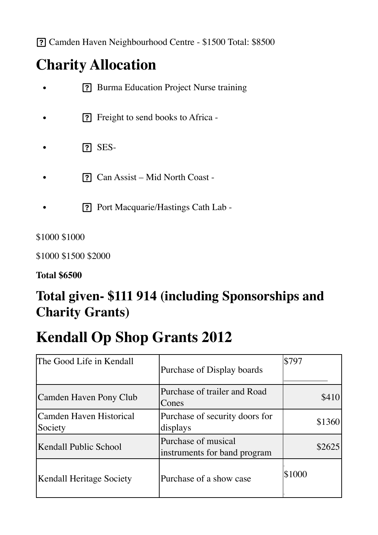Camden Haven Neighbourhood Centre - \$1500 Total: \$8500

### **Charity Allocation**

- **19. Burma Education Project Nurse training**
- Freight to send books to Africa -
- SES-
- Can Assist Mid North Coast -
- **Port Macquarie/Hastings Cath Lab -**

\$1000 \$1000

\$1000 \$1500 \$2000

**Total \$6500** 

#### **Total given- \$111 914 (including Sponsorships and Charity Grants)**

#### **Kendall Op Shop Grants 2012**

| The Good Life in Kendall           | Purchase of Display boards                          | \$797  |
|------------------------------------|-----------------------------------------------------|--------|
| Camden Haven Pony Club             | Purchase of trailer and Road<br>Cones               | \$410  |
| Camden Haven Historical<br>Society | Purchase of security doors for<br>displays          | \$1360 |
| Kendall Public School              | Purchase of musical<br>instruments for band program | \$2625 |
| <b>Kendall Heritage Society</b>    | Purchase of a show case                             | \$1000 |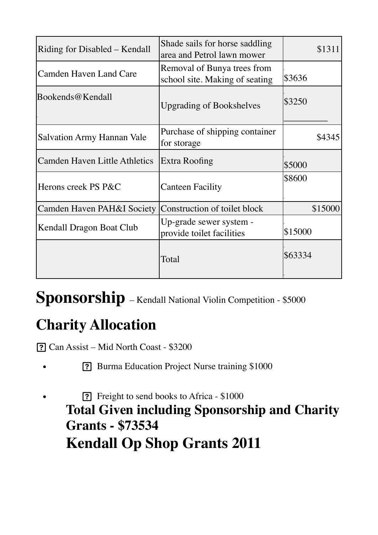| Riding for Disabled – Kendall        | Shade sails for horse saddling<br>area and Petrol lawn mower  | \$1311  |
|--------------------------------------|---------------------------------------------------------------|---------|
| <b>Camden Haven Land Care</b>        | Removal of Bunya trees from<br>school site. Making of seating | \$3636  |
| Bookends@Kendall                     | <b>Upgrading of Bookshelves</b>                               | \$3250  |
| <b>Salvation Army Hannan Vale</b>    | Purchase of shipping container<br>for storage                 | \$4345  |
| <b>Camden Haven Little Athletics</b> | Extra Roofing                                                 | \$5000  |
| Herons creek PS P&C                  | <b>Canteen Facility</b>                                       | \$8600  |
| Camden Haven PAH&I Society           | Construction of toilet block                                  | \$15000 |
| Kendall Dragon Boat Club             | Up-grade sewer system -<br>provide toilet facilities          | \$15000 |
|                                      | Total                                                         | \$63334 |

**Sponsorship** – Kendall National Violin Competition - \$5000

### **Charity Allocation**

Can Assist – Mid North Coast - \$3200

- <sup>7</sup> Burma Education Project Nurse training \$1000
- <sup>7</sup> Freight to send books to Africa \$1000 **Total Given including Sponsorship and Charity Grants - \$73534 Kendall Op Shop Grants 2011**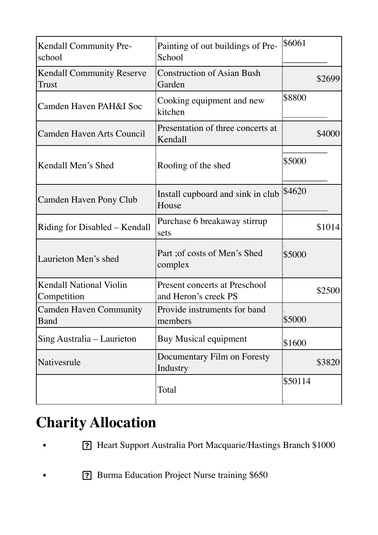| <b>Kendall Community Pre-</b><br>school       | Painting of out buildings of Pre-<br>School                  | \$6061  |        |
|-----------------------------------------------|--------------------------------------------------------------|---------|--------|
| <b>Kendall Community Reserve</b><br>Trust     | <b>Construction of Asian Bush</b><br>Garden                  |         | \$2699 |
| Camden Haven PAH&I Soc                        | Cooking equipment and new<br>kitchen                         | \$8800  |        |
| <b>Camden Haven Arts Council</b>              | Presentation of three concerts at<br>Kendall                 |         | \$4000 |
| Kendall Men's Shed                            | Roofing of the shed                                          | \$5000  |        |
| Camden Haven Pony Club                        | Install cupboard and sink in club<br>House                   | \$4620  |        |
| Riding for Disabled – Kendall                 | Purchase 6 breakaway stirrup<br>sets                         |         | \$1014 |
| Laurieton Men's shed                          | Part ; of costs of Men's Shed<br>complex                     | \$5000  |        |
| <b>Kendall National Violin</b><br>Competition | <b>Present concerts at Preschool</b><br>and Heron's creek PS |         | \$2500 |
| <b>Camden Haven Community</b><br>Band         | Provide instruments for band<br>members                      | \$5000  |        |
| Sing Australia – Laurieton                    | <b>Buy Musical equipment</b>                                 | \$1600  |        |
| Nativesrule                                   | Documentary Film on Foresty<br>Industry                      |         | \$3820 |
|                                               | Total                                                        | \$50114 |        |

### **Charity Allocation**

- Heart Support Australia Port Macquarie/Hastings Branch \$1000
- **19. Burma Education Project Nurse training \$650**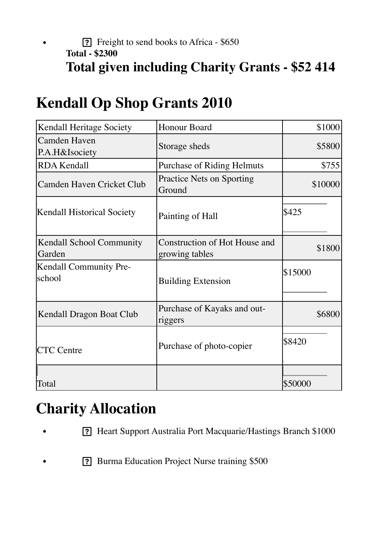#### • Freight to send books to Africa - \$650 **Total - \$2300 Total given including Charity Grants - \$52 414**

| Kendall Heritage Society                  | Honour Board                                    | \$1000  |
|-------------------------------------------|-------------------------------------------------|---------|
| <b>Camden Haven</b><br>P.A.H&Isociety     | Storage sheds                                   | \$5800  |
| <b>RDA Kendall</b>                        | <b>Purchase of Riding Helmuts</b>               | \$755   |
| Camden Haven Cricket Club                 | <b>Practice Nets on Sporting</b><br>Ground      | \$10000 |
| <b>Kendall Historical Society</b>         | Painting of Hall                                | \$425   |
| <b>Kendall School Community</b><br>Garden | Construction of Hot House and<br>growing tables | \$1800  |
| Kendall Community Pre-<br><b>school</b>   | <b>Building Extension</b>                       | \$15000 |
| Kendall Dragon Boat Club                  | Purchase of Kayaks and out-<br>riggers          | \$6800  |
| <b>CTC</b> Centre                         | Purchase of photo-copier                        | \$8420  |
| Total                                     |                                                 | \$50000 |

### **Kendall Op Shop Grants 2010**

### **Charity Allocation**

- Heart Support Australia Port Macquarie/Hastings Branch \$1000
- **19. Burma Education Project Nurse training \$500**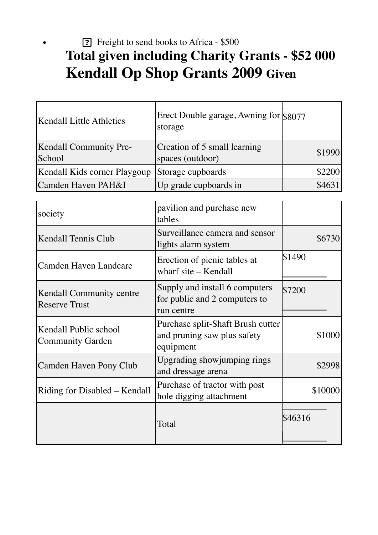#### <sup>7</sup> Freight to send books to Africa - \$500 **Total given including Charity Grants - \$52 000 Kendall Op Shop Grants 2009 Given**

| <b>Kendall Little Athletics</b>                  | Erect Double garage, Awning for \$8077<br>storage                             |         |  |
|--------------------------------------------------|-------------------------------------------------------------------------------|---------|--|
| <b>Kendall Community Pre-</b><br>School          | Creation of 5 small learning<br>spaces (outdoor)                              | \$1990  |  |
| Kendall Kids corner Playgoup                     | Storage cupboards                                                             | \$2200  |  |
| Camden Haven PAH&I                               | Up grade cupboards in                                                         | \$4631  |  |
|                                                  |                                                                               |         |  |
| society                                          | pavilion and purchase new<br>tables                                           |         |  |
| <b>Kendall Tennis Club</b>                       | Surveillance camera and sensor<br>lights alarm system                         | \$6730  |  |
| Camden Haven Landcare                            | Erection of picnic tables at<br>wharf site – Kendall                          | \$1490  |  |
| Kendall Community centre<br><b>Reserve Trust</b> | Supply and install 6 computers<br>for public and 2 computers to<br>run centre | \$7200  |  |
| Kendall Public school                            | Purchase split-Shaft Brush cutter                                             | $+1000$ |  |

and pruning saw plus safety

Experiment Showjumping rings<br>and dressage arena

hole digging attachment \$10000

\$1000

\$46316

equipment

Camden Haven Pony Club  $\bigcup_{n=1}^{\infty}$  Upgrading showjumping rings

Riding for Disabled – Kendall Purchase of tractor with post

Total

Community Garden